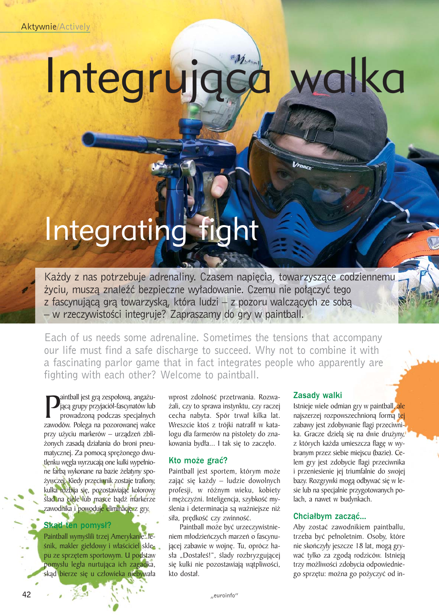Aktywnie/Actively

# Integrująca walka

# Integrating fight

Każdy z nas potrzebuje adrenaliny. Czasem napięcia, towarzyszące codziennemu życiu, muszą znaleźć bezpieczne wyładowanie. Czemu nie połączyć tego z fascynującą grą towarzyską, która ludzi – z pozoru walczących ze sobą – w rzeczywistoœci integruje? Zapraszamy do gry w paintball.

Each of us needs some adrenaline. Sometimes the tensions that accompany our life must find a safe discharge to succeed. Why not to combine it with a fascinating parlor game that in fact integrates people who apparently are fighting with each other? Welcome to paintball.

**P** jącą grupy przyjaciół-fascynatów lub<br>prowadzoną podczas specjalnych<br>zawodów. Polega na pozorowanej walce aintball jest grą zespołową, angażującą grupy przyjaciół-fascynatów lub prowadzoną podczas specjalnych przy użyciu markerów – urządzeń zbliżonych zasadą działania do broni pneumatycznej. Za pomocą sprężonego dwutlenku węgla wyrzucają one kulki wypełnione farbą wykonane na bazie żelatyny spo-¿ywczej. Kiedy przeciwnik zostaje trafiony, kulka rozbija się, pozostawiając kolorowy ślad na ciele lub masce bądź markerze zawodnika i powoduje eliminacjê z gry.

## Skad ten pomysł?

Paintball wymyślili trzej Amerykanie: leśnik, makler giełdowy i właściciel sklepu ze sprzêtem sportowym. U podstaw pomysłu legła nurtująca ich zagadka, skąd bierze się u człowieka niebywała

wprost zdolność przetrwania. Rozwa-¿ali, czy to sprawa instynktu, czy raczej cecha nabyta. Spór trwał kilka lat. Wreszcie ktoś z trójki natrafił w katalogu dla farmerów na pistolety do znakowania bydła... I tak się to zaczęło.

## Kto może grać?

Paintball jest sportem, którym może zająć się każdy – ludzie dowolnych profesji, w ró¿nym wieku, kobiety i mężczyźni. Inteligencja, szybkość myślenia i determinacja są ważniejsze niż siła, prędkość czy zwinność.

Paintball może być urzeczywistnieniem młodzieńczych marzeń o fascynującej zabawie w wojnę. Tu, oprócz hasła "Dostałeś!", ślady rozbryzgującej się kulki nie pozostawiają wątpliwości, kto dostał.

#### Zasady walki

VFORCE

Istnieje wiele odmian gry w paintball, ale najszerzej rozpowszechnioną formą tej zabawy jest zdobywanie flagi przeciwnika. Gracze dziela się na dwie drużyny, z których każda umieszcza flagę w wybranym przez siebie miejscu (bazie). Celem gry jest zdobycie flagi przeciwnika i przeniesienie jej triumfalnie do swojej bazy. Rozgrywki mogą odbywać się w lesie lub na specjalnie przygotowanych polach, a nawet w budynkach.

#### Chciałbym zacząć...

Aby zostać zawodnikiem paintballu, trzeba być pełnoletnim. Osoby, które nie skończyły jeszcze 18 lat, mogą grywać tylko za zgodą rodziców. Istnieją trzy możliwości zdobycia odpowiedniego sprzętu: można go pożyczyć od in-